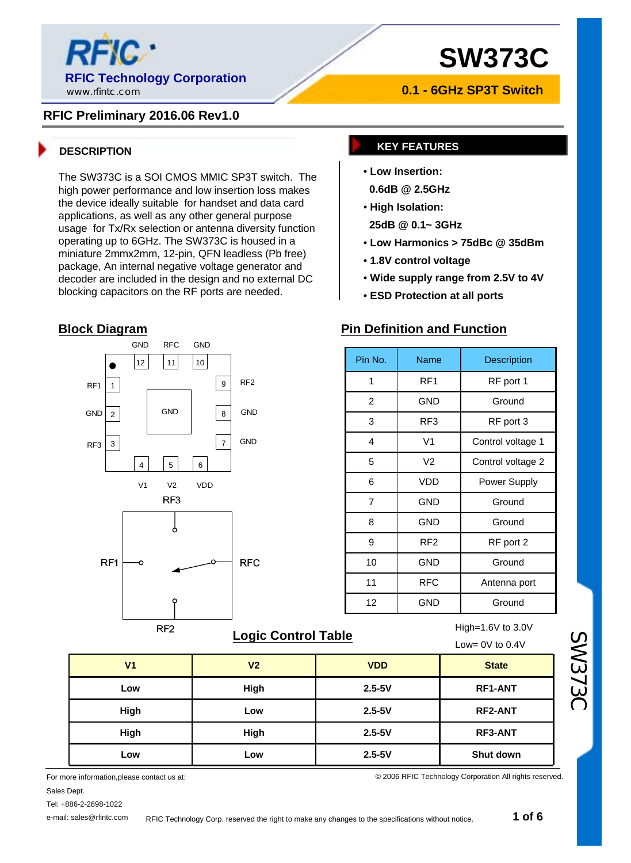

#### **RFIC Preliminary 2016.06 Rev1.0**

The SW373C is a SOI CMOS MMIC SP3T switch. The high power performance and low insertion loss makes the device ideally suitable for handset and data card applications, as well as any other general purpose usage for Tx/Rx selection or antenna diversity function operating up to 6GHz. The SW373C is housed in a miniature 2mmx2mm, 12-pin, QFN leadless (Pb free) package, An internal negative voltage generator and decoder are included in the design and no external DC blocking capacitors on the RF ports are needed.

#### **Block Diagram**



### **Logic Control Table High=1.6V** to 3.0V

**0.1 - 6GHz SP3T Switch**

#### **DESCRIPTION KEY FEATURES**

- **Low Insertion:**
- **0.6dB @ 2.5GHz**
- **High Isolation:**
- **25dB @ 0.1~ 3GHz**
- **Low Harmonics > 75dBc @ 35dBm**
- **1.8V control voltage**
- **Wide supply range from 2.5V to 4V**
- **ESD Protection at all ports**

#### **Pin Definition and Function**

| Pin No. | Name            | Description       |  |  |
|---------|-----------------|-------------------|--|--|
| 1       | RF1             | RF port 1         |  |  |
| 2       | GND             | Ground            |  |  |
| 3       | RF3             | RF port 3         |  |  |
| 4       | V <sub>1</sub>  | Control voltage 1 |  |  |
| 5       | V <sub>2</sub>  | Control voltage 2 |  |  |
| 6       | <b>VDD</b>      | Power Supply      |  |  |
| 7       | GND             | Ground            |  |  |
| 8       | GND             | Ground            |  |  |
| 9       | RF <sub>2</sub> | RF port 2         |  |  |
| 10      | GND             | Ground            |  |  |
| 11      | <b>RFC</b>      | Antenna port      |  |  |
| 12      | GND             | Ground            |  |  |

© 2006 RFIC Technology Corporation All rights reserved.

|                | - - - - - - -  | Low= $0V$ to $0.4V$ |                |
|----------------|----------------|---------------------|----------------|
| V <sub>1</sub> | V <sub>2</sub> | <b>VDD</b>          | <b>State</b>   |
| Low            | High           | $2.5 - 5V$          | <b>RF1-ANT</b> |
| High           | Low            | $2.5 - 5V$          | <b>RF2-ANT</b> |
| High           | High           | $2.5 - 5V$          | <b>RF3-ANT</b> |
| Low            | Low            | $2.5 - 5V$          | Shut down      |

For more information,please contact us at: Sales Dept.

e-mail: sales@rfintc.com

SW373C

Tel: +886-2-2698-1022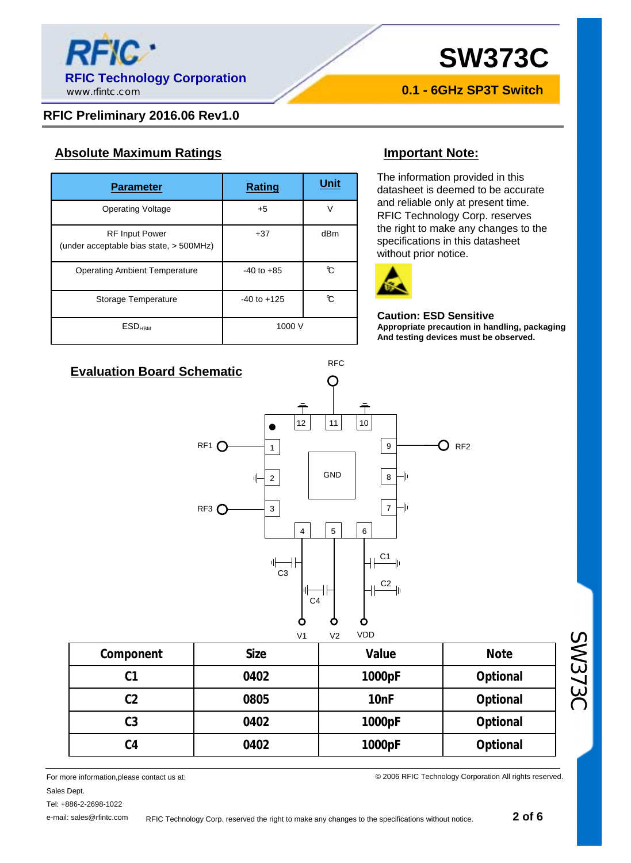

**0.1 - 6GHz SP3T Switch**

#### **RFIC Preliminary 2016.06 Rev1.0**

#### **Absolute Maximum Ratings Important Note:**

| <b>Parameter</b>                                                 | <b>Rating</b>   | Unit |
|------------------------------------------------------------------|-----------------|------|
| <b>Operating Voltage</b>                                         | $+5$            | V    |
| <b>RF Input Power</b><br>(under acceptable bias state, > 500MHz) | $+37$           | dBm  |
| <b>Operating Ambient Temperature</b>                             | $-40$ to $+85$  | °C   |
| Storage Temperature                                              | $-40$ to $+125$ | °C   |
| <b>ESD<sub>HBM</sub></b>                                         | 1000 V          |      |

The information provided in this datasheet is deemed to be accurate and reliable only at present time. RFIC Technology Corp. reserves the right to make any changes to the specifications in this datasheet without prior notice.



#### **Caution: ESD Sensitive Appropriate precaution in handling, packaging And testing devices must be observed.**



RFC

|                | V <sub>1</sub> | <b>VDD</b><br>V <sub>2</sub> |             |
|----------------|----------------|------------------------------|-------------|
| Component      | <b>Size</b>    | Value                        | <b>Note</b> |
| C <sub>1</sub> | 0402           | 1000pF                       | Optional    |
| C <sub>2</sub> | 0805           | 10 <sub>nF</sub>             | Optional    |
| C <sub>3</sub> | 0402           | 1000pF                       | Optional    |
| C <sub>4</sub> | 0402           | 1000pF                       | Optional    |

For more information,please contact us at: Sales Dept.

Tel: +886-2-2698-1022

e-mail: sales@rfintc.com

© 2006 RFIC Technology Corporation All rights reserved.

SW373C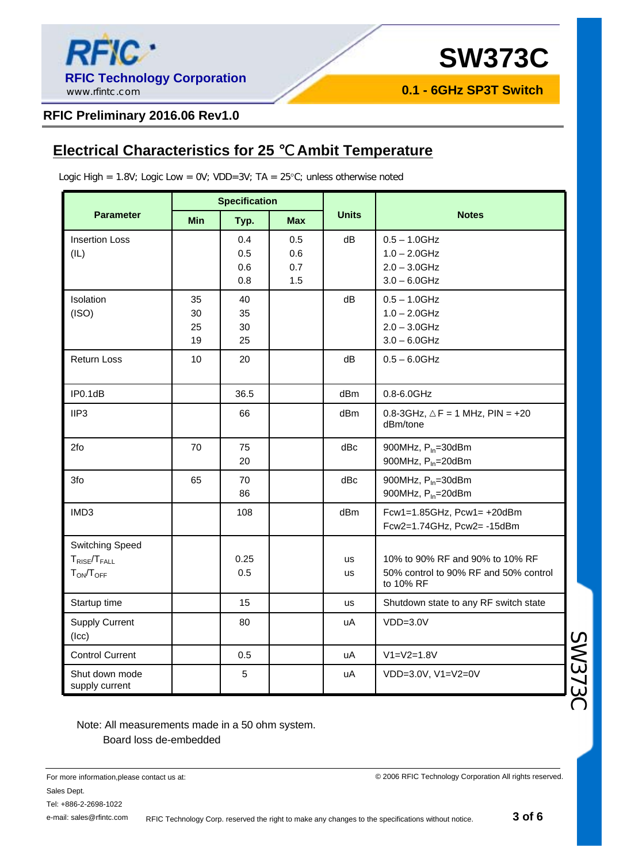

**0.1 - 6GHz SP3T Switch**

#### **RFIC Preliminary 2016.06 Rev1.0**

### **Electrical Characteristics for 25 Ambit Temperature**

Logic High =  $1.8V$ ; Logic Low =  $0V$ ; VDD=3V; TA =  $25^{\circ}$ C; unless otherwise noted

|                                                                   | <b>Specification</b> |                          |                          |                 |                                                                                       |  |
|-------------------------------------------------------------------|----------------------|--------------------------|--------------------------|-----------------|---------------------------------------------------------------------------------------|--|
| <b>Parameter</b>                                                  | <b>Min</b>           | Typ.                     | <b>Max</b>               | <b>Units</b>    | <b>Notes</b>                                                                          |  |
| <b>Insertion Loss</b><br>(IL)                                     |                      | 0.4<br>0.5<br>0.6<br>0.8 | 0.5<br>0.6<br>0.7<br>1.5 | dB              | $0.5 - 1.0$ GHz<br>$1.0 - 2.0$ GHz<br>$2.0 - 3.0$ GHz<br>$3.0 - 6.0$ GHz              |  |
| Isolation<br>(ISO)                                                | 35<br>30<br>25<br>19 | 40<br>35<br>30<br>25     |                          | dB              | $0.5 - 1.0$ GHz<br>$1.0 - 2.0$ GHz<br>$2.0 - 3.0$ GHz<br>$3.0 - 6.0$ GHz              |  |
| Return Loss                                                       | 10                   | 20                       |                          | dB              | $0.5 - 6.0$ GHz                                                                       |  |
| IP0.1dB                                                           |                      | 36.5                     |                          | dBm             | 0.8-6.0GHz                                                                            |  |
| IIP <sub>3</sub>                                                  |                      | 66                       |                          | dBm             | $0.8 - 3$ GHz,<br>$F = 1$ MHz, PIN = +20<br>dBm/tone                                  |  |
| 2fo                                                               | 70                   | 75<br>20                 |                          | dBc             | 900MHz, P <sub>In</sub> =30dBm<br>900MHz, P <sub>In</sub> =20dBm                      |  |
| 3fo                                                               | 65                   | 70<br>86                 |                          | dBc             | 900MHz, P <sub>In</sub> =30dBm<br>900MHz, P <sub>In</sub> =20dBm                      |  |
| IMD3                                                              |                      | 108                      |                          | dBm             | Fcw1=1.85GHz, $Pcw1 = +20dBm$<br>Fcw2=1.74GHz, Pcw2=-15dBm                            |  |
| <b>Switching Speed</b><br>$T_{RISE}/T_{FALL}$<br>$T_{ON}/T_{OFF}$ |                      | 0.25<br>0.5              |                          | us<br><b>us</b> | 10% to 90% RF and 90% to 10% RF<br>50% control to 90% RF and 50% control<br>to 10% RF |  |
| Startup time                                                      |                      | 15                       |                          | us              | Shutdown state to any RF switch state                                                 |  |
| <b>Supply Current</b><br>$($ c $)$                                |                      | 80                       |                          | uA              | $VDD=3.0V$                                                                            |  |
| <b>Control Current</b>                                            |                      | 0.5                      |                          | uA              | $V1 = V2 = 1.8V$                                                                      |  |
| Shut down mode<br>supply current                                  |                      | 5                        |                          | uA              | VDD=3.0V, V1=V2=0V                                                                    |  |

Note: All measurements made in a 50 ohm system. Board loss de-embedded

© 2006 RFIC Technology Corporation All rights reserved.

RFIC Technology Corp. reserved the right to make any changes to the specifications without notice.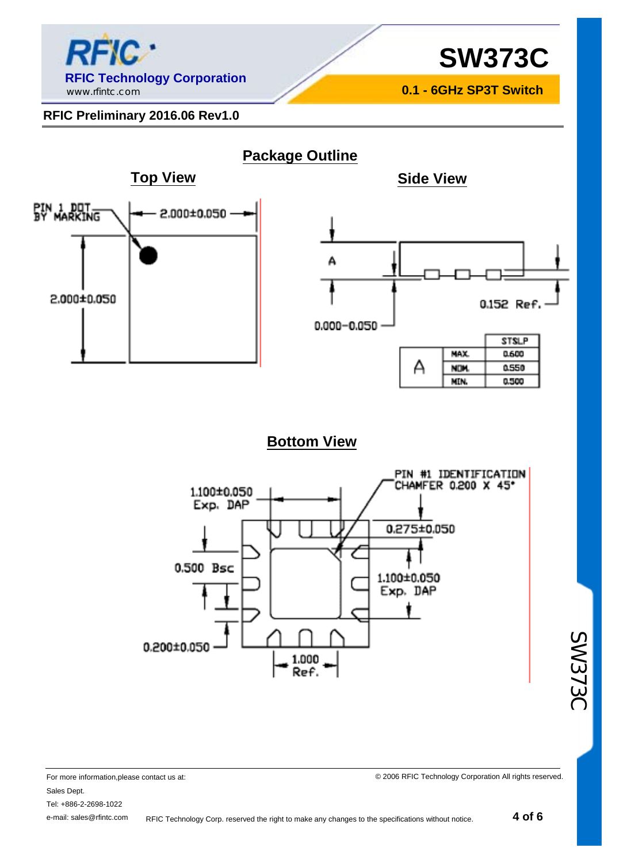

**0.1 - 6GHz SP3T Switch**

#### **RFIC Preliminary 2016.06 Rev1.0**



### **Bottom View**



SW373C

For more information,please contact us at: Sales Dept. Tel: +886-2-2698-1022 e-mail: sales@rfintc.com RFIC Technology Corp. reserved the right to make any changes to the specifications without notice.

© 2006 RFIC Technology Corporation All rights reserved.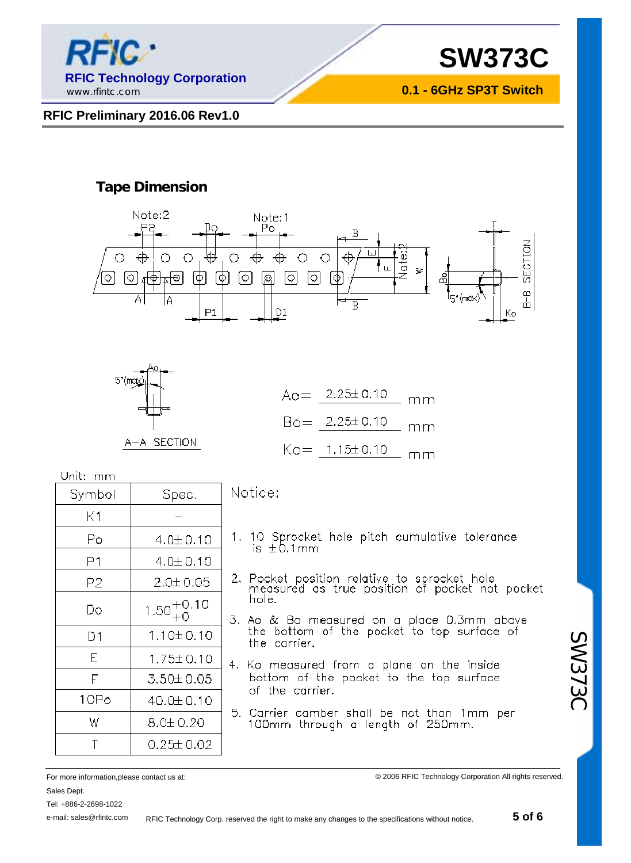

**0.1 - 6GHz SP3T Switch**

#### **RFIC Preliminary 2016.06 Rev1.0**

#### **Tape Dimension**





| $A_0 = 2.25 \pm 0.10$   | $-$ mm |
|-------------------------|--------|
| $Bo = 2.25 \pm 0.10$ mm |        |
| $K_0 = 1.15 \pm 0.10$   | $-$ mm |

Unit: mm

| Symbol | Spec.                  |  |  |
|--------|------------------------|--|--|
| Κ1     |                        |  |  |
| Ρo     | $4.0 \pm 0.10$         |  |  |
| Ρ1     | 4.0±0.10               |  |  |
| Р2     | 2.0± 0.05              |  |  |
| Do     | $1.50^{+0.10}_{+0.10}$ |  |  |
| D1     | 1.10±0.10              |  |  |
| E      | $1.75 \pm 0.10$        |  |  |
| F      | 3.50±0.05              |  |  |
| 10Po   | 40.0±0.10              |  |  |
| W      | 8.0± 0.20              |  |  |
|        | $0.25 \pm 0.02$        |  |  |

#### Notice:

- 1. 10 Sprocket hole pitch cumulative tolerance  $is \pm 0.1$ mm
- 2. Pocket position relative to sprocket hole<br>measured as true position of pocket not pocket hole.
- 3. Ao & Bo measured on a place 0.3mm above<br>the bottom of the pocket to top surface of the carrier.
- 4. Ko measured from a plane on the inside bottom of the pocket to the top surface of the carrier.
- 5. Carrier camber shall be not than 1mm per<br>100mm through a length of 250mm.

For more information,please contact us at: Sales Dept.

Tel: +886-2-2698-1022

e-mail: sales@rfintc.com

© 2006 RFIC Technology Corporation All rights reserved.